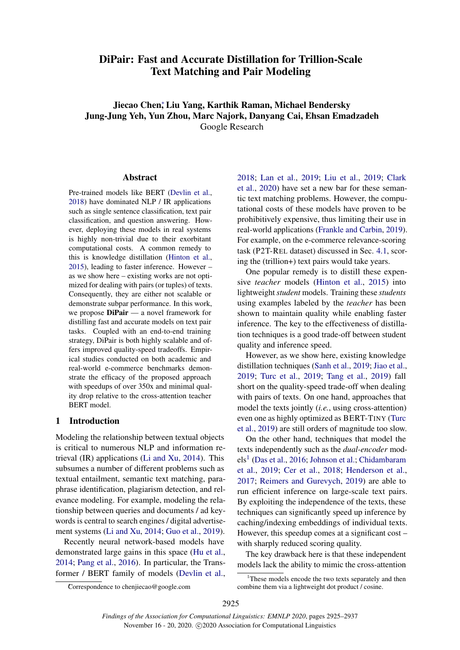# DiPair: Fast and Accurate Distillation for Trillion-Scale Text Matching and Pair Modeling

Jiecao Chen<sup>∗</sup> , Liu Yang, Karthik Raman, Michael Bendersky Jung-Jung Yeh, Yun Zhou, Marc Najork, Danyang Cai, Ehsan Emadzadeh Google Research

Abstract

Pre-trained models like BERT [\(Devlin et al.,](#page-9-0) [2018\)](#page-9-0) have dominated NLP / IR applications such as single sentence classification, text pair classification, and question answering. However, deploying these models in real systems is highly non-trivial due to their exorbitant computational costs. A common remedy to this is knowledge distillation [\(Hinton et al.,](#page-9-1) [2015\)](#page-9-1), leading to faster inference. However – as we show here – existing works are not optimized for dealing with pairs (or tuples) of texts. Consequently, they are either not scalable or demonstrate subpar performance. In this work, we propose DiPair — a novel framework for distilling fast and accurate models on text pair tasks. Coupled with an end-to-end training strategy, DiPair is both highly scalable and offers improved quality-speed tradeoffs. Empirical studies conducted on both academic and real-world e-commerce benchmarks demonstrate the efficacy of the proposed approach with speedups of over 350x and minimal quality drop relative to the cross-attention teacher BERT model.

### 1 Introduction

Modeling the relationship between textual objects is critical to numerous NLP and information retrieval (IR) applications [\(Li and Xu,](#page-9-2) [2014\)](#page-9-2). This subsumes a number of different problems such as textual entailment, semantic text matching, paraphrase identification, plagiarism detection, and relevance modeling. For example, modeling the relationship between queries and documents / ad keywords is central to search engines / digital advertisement systems [\(Li and Xu,](#page-9-2) [2014;](#page-9-2) [Guo et al.,](#page-9-3) [2019\)](#page-9-3).

Recently neural network-based models have demonstrated large gains in this space [\(Hu et al.,](#page-9-4) [2014;](#page-9-4) [Pang et al.,](#page-10-0) [2016\)](#page-10-0). In particular, the Transformer / BERT family of models [\(Devlin et al.,](#page-9-0)

[2018;](#page-9-0) [Lan et al.,](#page-9-5) [2019;](#page-9-5) [Liu et al.,](#page-10-1) [2019;](#page-10-1) [Clark](#page-9-6) [et al.,](#page-9-6) [2020\)](#page-9-6) have set a new bar for these semantic text matching problems. However, the computational costs of these models have proven to be prohibitively expensive, thus limiting their use in real-world applications [\(Frankle and Carbin,](#page-9-7) [2019\)](#page-9-7). For example, on the e-commerce relevance-scoring task (P2T-REL dataset) discussed in Sec. [4.1,](#page-4-0) scoring the (trillion+) text pairs would take years.

One popular remedy is to distill these expensive *teacher* models [\(Hinton et al.,](#page-9-1) [2015\)](#page-9-1) into lightweight*student* models. Training these *students* using examples labeled by the *teacher* has been shown to maintain quality while enabling faster inference. The key to the effectiveness of distillation techniques is a good trade-off between student quality and inference speed.

However, as we show here, existing knowledge distillation techniques [\(Sanh et al.,](#page-10-2) [2019;](#page-10-2) [Jiao et al.,](#page-9-8) [2019;](#page-9-8) [Turc et al.,](#page-10-3) [2019;](#page-10-3) [Tang et al.,](#page-10-4) [2019\)](#page-10-4) fall short on the quality-speed trade-off when dealing with pairs of texts. On one hand, approaches that model the texts jointly (*i.e.*, using cross-attention) even one as highly optimized as BERT-TINY [\(Turc](#page-10-3) [et al.,](#page-10-3) [2019\)](#page-10-3) are still orders of magnitude too slow.

On the other hand, techniques that model the texts independently such as the *dual-encoder* mod-els<sup>[1](#page-0-0)</sup> [\(Das et al.,](#page-9-9) [2016;](#page-9-9) [Johnson et al.;](#page-9-10) [Chidambaram](#page-9-11) [et al.,](#page-9-11) [2019;](#page-9-11) [Cer et al.,](#page-9-12) [2018;](#page-9-12) [Henderson et al.,](#page-9-13) [2017;](#page-9-13) [Reimers and Gurevych,](#page-10-5) [2019\)](#page-10-5) are able to run efficient inference on large-scale text pairs. By exploiting the independence of the texts, these techniques can significantly speed up inference by caching/indexing embeddings of individual texts. However, this speedup comes at a significant cost – with sharply reduced scoring quality.

The key drawback here is that these independent models lack the ability to mimic the cross-attention

<span id="page-0-0"></span><sup>&</sup>lt;sup>1</sup>These models encode the two texts separately and then combine them via a lightweight dot product / cosine.

<sup>∗</sup>Correspondence to chenjiecao@google.com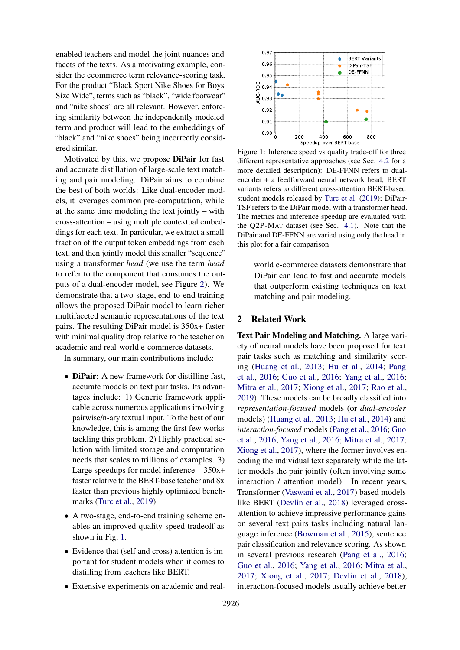enabled teachers and model the joint nuances and facets of the texts. As a motivating example, consider the ecommerce term relevance-scoring task. For the product "Black Sport Nike Shoes for Boys Size Wide", terms such as "black", "wide footwear" and "nike shoes" are all relevant. However, enforcing similarity between the independently modeled term and product will lead to the embeddings of "black" and "nike shoes" being incorrectly considered similar.

Motivated by this, we propose DiPair for fast and accurate distillation of large-scale text matching and pair modeling. DiPair aims to combine the best of both worlds: Like dual-encoder models, it leverages common pre-computation, while at the same time modeling the text jointly – with cross-attention – using multiple contextual embeddings for each text. In particular, we extract a small fraction of the output token embeddings from each text, and then jointly model this smaller "sequence" using a transformer *head* (we use the term *head* to refer to the component that consumes the outputs of a dual-encoder model, see Figure [2\)](#page-3-0). We demonstrate that a two-stage, end-to-end training allows the proposed DiPair model to learn richer multifaceted semantic representations of the text pairs. The resulting DiPair model is 350x+ faster with minimal quality drop relative to the teacher on academic and real-world e-commerce datasets.

In summary, our main contributions include:

- **DiPair**: A new framework for distilling fast, accurate models on text pair tasks. Its advantages include: 1) Generic framework applicable across numerous applications involving pairwise/n-ary textual input. To the best of our knowledge, this is among the first few works tackling this problem. 2) Highly practical solution with limited storage and computation needs that scales to trillions of examples. 3) Large speedups for model inference – 350x+ faster relative to the BERT-base teacher and 8x faster than previous highly optimized bench-marks [\(Turc et al.,](#page-10-3) [2019\)](#page-10-3).
- A two-stage, end-to-end training scheme enables an improved quality-speed tradeoff as shown in Fig. [1.](#page-1-0)
- Evidence that (self and cross) attention is important for student models when it comes to distilling from teachers like BERT.
- Extensive experiments on academic and real-

<span id="page-1-0"></span>

Figure 1: Inference speed vs quality trade-off for three different representative approaches (see Sec. [4.2](#page-5-0) for a more detailed description): DE-FFNN refers to dualencoder + a feedforward neural network head; BERT variants refers to different cross-attention BERT-based student models released by [Turc et al.](#page-10-3) [\(2019\)](#page-10-3); DiPair-TSF refers to the DiPair model with a transformer head. The metrics and inference speedup are evaluated with the Q2P-MAT dataset (see Sec. [4.1\)](#page-4-0). Note that the DiPair and DE-FFNN are varied using only the head in this plot for a fair comparison.

world e-commerce datasets demonstrate that DiPair can lead to fast and accurate models that outperform existing techniques on text matching and pair modeling.

#### <span id="page-1-1"></span>2 Related Work

Text Pair Modeling and Matching. A large variety of neural models have been proposed for text pair tasks such as matching and similarity scoring [\(Huang et al.,](#page-9-14) [2013;](#page-9-14) [Hu et al.,](#page-9-4) [2014;](#page-9-4) [Pang](#page-10-0) [et al.,](#page-10-0) [2016;](#page-10-0) [Guo et al.,](#page-9-15) [2016;](#page-9-15) [Yang et al.,](#page-10-6) [2016;](#page-10-6) [Mitra et al.,](#page-10-7) [2017;](#page-10-7) [Xiong et al.,](#page-10-8) [2017;](#page-10-8) [Rao et al.,](#page-10-9) [2019\)](#page-10-9). These models can be broadly classified into *representation-focused* models (or *dual-encoder* models) [\(Huang et al.,](#page-9-14) [2013;](#page-9-14) [Hu et al.,](#page-9-4) [2014\)](#page-9-4) and *interaction-focused* models [\(Pang et al.,](#page-10-0) [2016;](#page-10-0) [Guo](#page-9-15) [et al.,](#page-9-15) [2016;](#page-9-15) [Yang et al.,](#page-10-6) [2016;](#page-10-6) [Mitra et al.,](#page-10-7) [2017;](#page-10-7) [Xiong et al.,](#page-10-8) [2017\)](#page-10-8), where the former involves encoding the individual text separately while the latter models the pair jointly (often involving some interaction / attention model). In recent years, Transformer [\(Vaswani et al.,](#page-10-10) [2017\)](#page-10-10) based models like BERT [\(Devlin et al.,](#page-9-0) [2018\)](#page-9-0) leveraged crossattention to achieve impressive performance gains on several text pairs tasks including natural language inference [\(Bowman et al.,](#page-9-16) [2015\)](#page-9-16), sentence pair classification and relevance scoring. As shown in several previous research [\(Pang et al.,](#page-10-0) [2016;](#page-10-0) [Guo et al.,](#page-9-15) [2016;](#page-9-15) [Yang et al.,](#page-10-6) [2016;](#page-10-6) [Mitra et al.,](#page-10-7) [2017;](#page-10-7) [Xiong et al.,](#page-10-8) [2017;](#page-10-8) [Devlin et al.,](#page-9-0) [2018\)](#page-9-0), interaction-focused models usually achieve better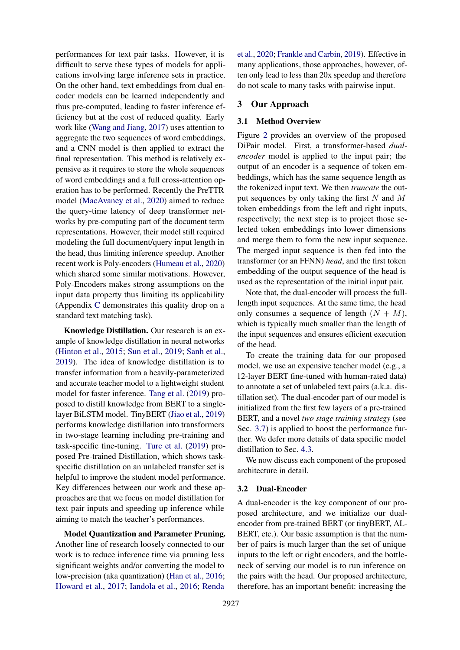performances for text pair tasks. However, it is difficult to serve these types of models for applications involving large inference sets in practice. On the other hand, text embeddings from dual encoder models can be learned independently and thus pre-computed, leading to faster inference efficiency but at the cost of reduced quality. Early work like [\(Wang and Jiang,](#page-10-11) [2017\)](#page-10-11) uses attention to aggregate the two sequences of word embeddings, and a CNN model is then applied to extract the final representation. This method is relatively expensive as it requires to store the whole sequences of word embeddings and a full cross-attention operation has to be performed. Recently the PreTTR model [\(MacAvaney et al.,](#page-10-12) [2020\)](#page-10-12) aimed to reduce the query-time latency of deep transformer networks by pre-computing part of the document term representations. However, their model still required modeling the full document/query input length in the head, thus limiting inference speedup. Another recent work is Poly-encoders [\(Humeau et al.,](#page-9-17) [2020\)](#page-9-17) which shared some similar motivations. However, Poly-Encoders makes strong assumptions on the input data property thus limiting its applicability (Appendix [C](#page-11-0) demonstrates this quality drop on a standard text matching task).

Knowledge Distillation. Our research is an example of knowledge distillation in neural networks [\(Hinton et al.,](#page-9-1) [2015;](#page-9-1) [Sun et al.,](#page-10-13) [2019;](#page-10-13) [Sanh et al.,](#page-10-2) [2019\)](#page-10-2). The idea of knowledge distillation is to transfer information from a heavily-parameterized and accurate teacher model to a lightweight student model for faster inference. [Tang et al.](#page-10-4) [\(2019\)](#page-10-4) proposed to distill knowledge from BERT to a singlelayer BiLSTM model. TinyBERT [\(Jiao et al.,](#page-9-8) [2019\)](#page-9-8) performs knowledge distillation into transformers in two-stage learning including pre-training and task-specific fine-tuning. [Turc et al.](#page-10-3) [\(2019\)](#page-10-3) proposed Pre-trained Distillation, which shows taskspecific distillation on an unlabeled transfer set is helpful to improve the student model performance. Key differences between our work and these approaches are that we focus on model distillation for text pair inputs and speeding up inference while aiming to match the teacher's performances.

Model Quantization and Parameter Pruning. Another line of research loosely connected to our work is to reduce inference time via pruning less significant weights and/or converting the model to low-precision (aka quantization) [\(Han et al.,](#page-9-18) [2016;](#page-9-18) [Howard et al.,](#page-9-19) [2017;](#page-9-19) [Iandola et al.,](#page-9-20) [2016;](#page-9-20) [Renda](#page-10-14)

[et al.,](#page-10-14) [2020;](#page-10-14) [Frankle and Carbin,](#page-9-7) [2019\)](#page-9-7). Effective in many applications, those approaches, however, often only lead to less than 20x speedup and therefore do not scale to many tasks with pairwise input.

### 3 Our Approach

#### 3.1 Method Overview

Figure [2](#page-3-0) provides an overview of the proposed DiPair model. First, a transformer-based *dualencoder* model is applied to the input pair; the output of an encoder is a sequence of token embeddings, which has the same sequence length as the tokenized input text. We then *truncate* the output sequences by only taking the first  $N$  and  $M$ token embeddings from the left and right inputs, respectively; the next step is to project those selected token embeddings into lower dimensions and merge them to form the new input sequence. The merged input sequence is then fed into the transformer (or an FFNN) *head*, and the first token embedding of the output sequence of the head is used as the representation of the initial input pair.

Note that, the dual-encoder will process the fulllength input sequences. At the same time, the head only consumes a sequence of length  $(N + M)$ , which is typically much smaller than the length of the input sequences and ensures efficient execution of the head.

To create the training data for our proposed model, we use an expensive teacher model (e.g., a 12-layer BERT fine-tuned with human-rated data) to annotate a set of unlabeled text pairs (a.k.a. distillation set). The dual-encoder part of our model is initialized from the first few layers of a pre-trained BERT, and a novel *two stage training strategy* (see Sec. [3.7\)](#page-4-1) is applied to boost the performance further. We defer more details of data specific model distillation to Sec. [4.3.](#page-5-1)

We now discuss each component of the proposed architecture in detail.

#### 3.2 Dual-Encoder

A dual-encoder is the key component of our proposed architecture, and we initialize our dualencoder from pre-trained BERT (or tinyBERT, AL-BERT, etc.). Our basic assumption is that the number of pairs is much larger than the set of unique inputs to the left or right encoders, and the bottleneck of serving our model is to run inference on the pairs with the head. Our proposed architecture, therefore, has an important benefit: increasing the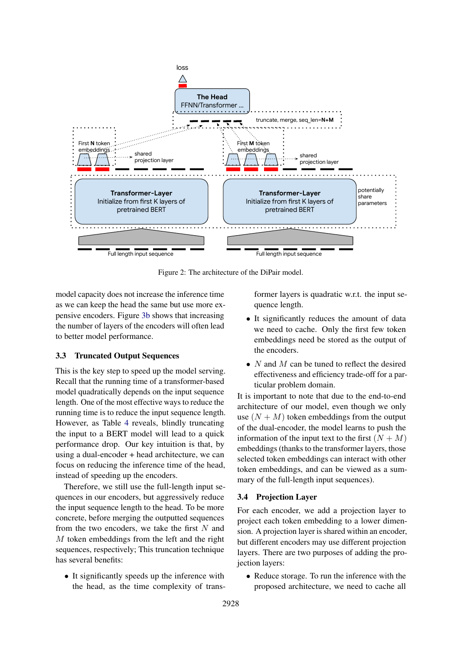<span id="page-3-0"></span>

Figure 2: The architecture of the DiPair model.

model capacity does not increase the inference time as we can keep the head the same but use more expensive encoders. Figure [3b](#page-6-0) shows that increasing the number of layers of the encoders will often lead to better model performance.

### 3.3 Truncated Output Sequences

This is the key step to speed up the model serving. Recall that the running time of a transformer-based model quadratically depends on the input sequence length. One of the most effective ways to reduce the running time is to reduce the input sequence length. However, as Table [4](#page-8-0) reveals, blindly truncating the input to a BERT model will lead to a quick performance drop. Our key intuition is that, by using a dual-encoder + head architecture, we can focus on reducing the inference time of the head, instead of speeding up the encoders.

Therefore, we still use the full-length input sequences in our encoders, but aggressively reduce the input sequence length to the head. To be more concrete, before merging the outputted sequences from the two encoders, we take the first  $N$  and M token embeddings from the left and the right sequences, respectively; This truncation technique has several benefits:

• It significantly speeds up the inference with the head, as the time complexity of transformer layers is quadratic w.r.t. the input sequence length.

- It significantly reduces the amount of data we need to cache. Only the first few token embeddings need be stored as the output of the encoders.
- $N$  and  $M$  can be tuned to reflect the desired effectiveness and efficiency trade-off for a particular problem domain.

It is important to note that due to the end-to-end architecture of our model, even though we only use  $(N + M)$  token embeddings from the output of the dual-encoder, the model learns to push the information of the input text to the first  $(N + M)$ embeddings (thanks to the transformer layers, those selected token embeddings can interact with other token embeddings, and can be viewed as a summary of the full-length input sequences).

#### 3.4 Projection Layer

For each encoder, we add a projection layer to project each token embedding to a lower dimension. A projection layer is shared within an encoder, but different encoders may use different projection layers. There are two purposes of adding the projection layers:

• Reduce storage. To run the inference with the proposed architecture, we need to cache all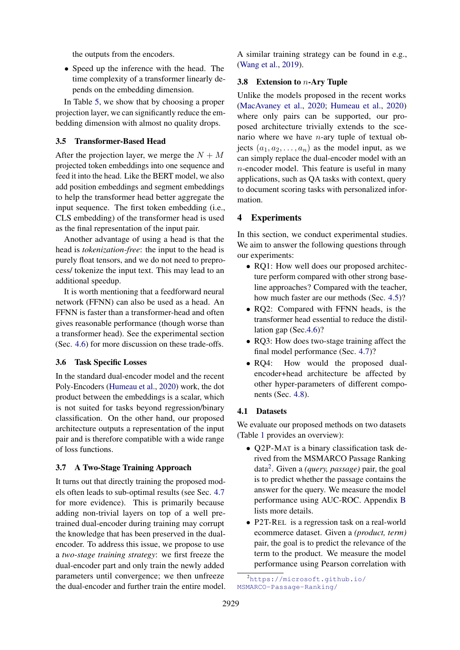the outputs from the encoders.

• Speed up the inference with the head. The time complexity of a transformer linearly depends on the embedding dimension.

In Table [5,](#page-8-1) we show that by choosing a proper projection layer, we can significantly reduce the embedding dimension with almost no quality drops.

#### 3.5 Transformer-Based Head

After the projection layer, we merge the  $N + M$ projected token embeddings into one sequence and feed it into the head. Like the BERT model, we also add position embeddings and segment embeddings to help the transformer head better aggregate the input sequence. The first token embedding (i.e., CLS embedding) of the transformer head is used as the final representation of the input pair.

Another advantage of using a head is that the head is *tokenization-free*: the input to the head is purely float tensors, and we do not need to preprocess/ tokenize the input text. This may lead to an additional speedup.

It is worth mentioning that a feedforward neural network (FFNN) can also be used as a head. An FFNN is faster than a transformer-head and often gives reasonable performance (though worse than a transformer head). See the experimental section (Sec. [4.6\)](#page-6-1) for more discussion on these trade-offs.

#### 3.6 Task Specific Losses

In the standard dual-encoder model and the recent Poly-Encoders [\(Humeau et al.,](#page-9-17) [2020\)](#page-9-17) work, the dot product between the embeddings is a scalar, which is not suited for tasks beyond regression/binary classification. On the other hand, our proposed architecture outputs a representation of the input pair and is therefore compatible with a wide range of loss functions.

#### <span id="page-4-1"></span>3.7 A Two-Stage Training Approach

It turns out that directly training the proposed models often leads to sub-optimal results (see Sec. [4.7](#page-6-2) for more evidence). This is primarily because adding non-trivial layers on top of a well pretrained dual-encoder during training may corrupt the knowledge that has been preserved in the dualencoder. To address this issue, we propose to use a *two-stage training strategy*: we first freeze the dual-encoder part and only train the newly added parameters until convergence; we then unfreeze the dual-encoder and further train the entire model. A similar training strategy can be found in e.g., [\(Wang et al.,](#page-10-15) [2019\)](#page-10-15).

#### 3.8 Extension to n-Ary Tuple

Unlike the models proposed in the recent works [\(MacAvaney et al.,](#page-10-12) [2020;](#page-10-12) [Humeau et al.,](#page-9-17) [2020\)](#page-9-17) where only pairs can be supported, our proposed architecture trivially extends to the scenario where we have  $n$ -ary tuple of textual objects  $(a_1, a_2, \ldots, a_n)$  as the model input, as we can simply replace the dual-encoder model with an  $n$ -encoder model. This feature is useful in many applications, such as QA tasks with context, query to document scoring tasks with personalized information.

#### 4 Experiments

In this section, we conduct experimental studies. We aim to answer the following questions through our experiments:

- RO1: How well does our proposed architecture perform compared with other strong baseline approaches? Compared with the teacher, how much faster are our methods (Sec. [4.5\)](#page-6-3)?
- RQ2: Compared with FFNN heads, is the transformer head essential to reduce the distillation gap (Sec[.4.6\)](#page-6-1)?
- RQ3: How does two-stage training affect the final model performance (Sec. [4.7\)](#page-6-2)?
- RQ4: How would the proposed dualencoder+head architecture be affected by other hyper-parameters of different components (Sec. [4.8\)](#page-6-4).

#### <span id="page-4-0"></span>4.1 Datasets

We evaluate our proposed methods on two datasets (Table [1](#page-6-5) provides an overview):

- Q2P-MAT is a binary classification task derived from the MSMARCO Passage Ranking data[2](#page-4-2) . Given a *(query, passage)* pair, the goal is to predict whether the passage contains the answer for the query. We measure the model performance using AUC-ROC. Appendix [B](#page-11-1) lists more details.
- P2T-REL is a regression task on a real-world ecommerce dataset. Given a *(product, term)* pair, the goal is to predict the relevance of the term to the product. We measure the model performance using Pearson correlation with

<span id="page-4-2"></span><sup>2</sup>[https://microsoft.github.io/](https://microsoft.github.io/MSMARCO-Passage-Ranking/) [MSMARCO-Passage-Ranking/](https://microsoft.github.io/MSMARCO-Passage-Ranking/)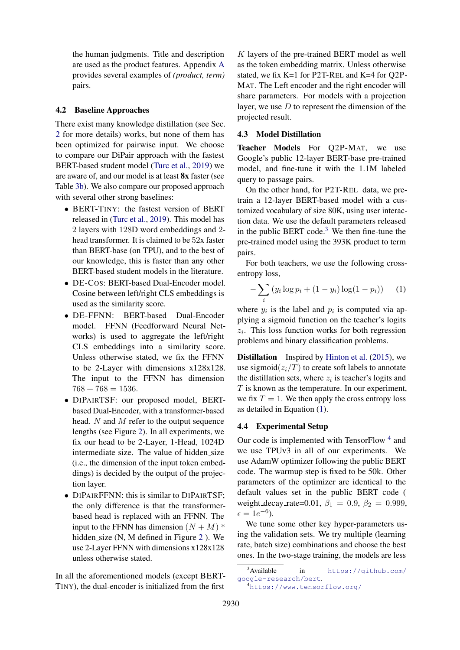the human judgments. Title and description are used as the product features. Appendix [A](#page-11-2) provides several examples of *(product, term)* pairs.

#### <span id="page-5-0"></span>4.2 Baseline Approaches

There exist many knowledge distillation (see Sec. [2](#page-1-1) for more details) works, but none of them has been optimized for pairwise input. We choose to compare our DiPair approach with the fastest BERT-based student model [\(Turc et al.,](#page-10-3) [2019\)](#page-10-3) we are aware of, and our model is at least 8x faster (see Table [3b\)](#page-7-0). We also compare our proposed approach with several other strong baselines:

- BERT-TINY: the fastest version of BERT released in [\(Turc et al.,](#page-10-3) [2019\)](#page-10-3). This model has 2 layers with 128D word embeddings and 2 head transformer. It is claimed to be 52x faster than BERT-base (on TPU), and to the best of our knowledge, this is faster than any other BERT-based student models in the literature.
- DE-COS: BERT-based Dual-Encoder model. Cosine between left/right CLS embeddings is used as the similarity score.
- DE-FFNN: BERT-based Dual-Encoder model. FFNN (Feedforward Neural Networks) is used to aggregate the left/right CLS embeddings into a similarity score. Unless otherwise stated, we fix the FFNN to be 2-Layer with dimensions x128x128. The input to the FFNN has dimension  $768 + 768 = 1536.$
- DIPAIRTSF: our proposed model, BERTbased Dual-Encoder, with a transformer-based head. N and M refer to the output sequence lengths (see Figure [2\)](#page-3-0). In all experiments, we fix our head to be 2-Layer, 1-Head, 1024D intermediate size. The value of hidden size (i.e., the dimension of the input token embeddings) is decided by the output of the projection layer.
- DIPAIRFFNN: this is similar to DIPAIRTSF; the only difference is that the transformerbased head is replaced with an FFNN. The input to the FFNN has dimension  $(N + M)$ <sup>\*</sup> hidden size (N, M defined in Figure [2](#page-3-0)). We use 2-Layer FFNN with dimensions x128x128 unless otherwise stated.

In all the aforementioned models (except BERT-TINY), the dual-encoder is initialized from the first

K layers of the pre-trained BERT model as well as the token embedding matrix. Unless otherwise stated, we fix K=1 for P2T-REL and K=4 for Q2P-MAT. The Left encoder and the right encoder will share parameters. For models with a projection layer, we use  $D$  to represent the dimension of the projected result.

#### <span id="page-5-1"></span>4.3 Model Distillation

Teacher Models For Q2P-MAT, we use Google's public 12-layer BERT-base pre-trained model, and fine-tune it with the 1.1M labeled query to passage pairs.

On the other hand, for P2T-REL data, we pretrain a 12-layer BERT-based model with a customized vocabulary of size 80K, using user interaction data. We use the default parameters released in the public BERT code.<sup>[3](#page-5-2)</sup> We then fine-tune the pre-trained model using the 393K product to term pairs.

For both teachers, we use the following crossentropy loss,

<span id="page-5-3"></span>
$$
-\sum_{i} (y_i \log p_i + (1 - y_i) \log(1 - p_i)) \qquad (1)
$$

where  $y_i$  is the label and  $p_i$  is computed via applying a sigmoid function on the teacher's logits  $z_i$ . This loss function works for both regression problems and binary classification problems.

**Distillation** Inspired by [Hinton et al.](#page-9-1) [\(2015\)](#page-9-1), we use sigmoid $(z_i/T)$  to create soft labels to annotate the distillation sets, where  $z_i$  is teacher's logits and  $T$  is known as the temperature. In our experiment, we fix  $T = 1$ . We then apply the cross entropy loss as detailed in Equation [\(1\)](#page-5-3).

#### 4.4 Experimental Setup

Our code is implemented with TensorFlow<sup>[4](#page-5-4)</sup> and we use TPUv3 in all of our experiments. We use AdamW optimizer following the public BERT code. The warmup step is fixed to be 50k. Other parameters of the optimizer are identical to the default values set in the public BERT code ( weight\_decay\_rate=0.01,  $\beta_1 = 0.9$ ,  $\beta_2 = 0.999$ ,  $\epsilon = 1e^{-6}$ ).

We tune some other key hyper-parameters using the validation sets. We try multiple (learning rate, batch size) combinations and choose the best ones. In the two-stage training, the models are less

<span id="page-5-2"></span><sup>&</sup>lt;sup>3</sup>Available in [https://github.com/](https://github.com/google-research/bert) [google-research/bert](https://github.com/google-research/bert).

<span id="page-5-4"></span><sup>4</sup><https://www.tensorflow.org/>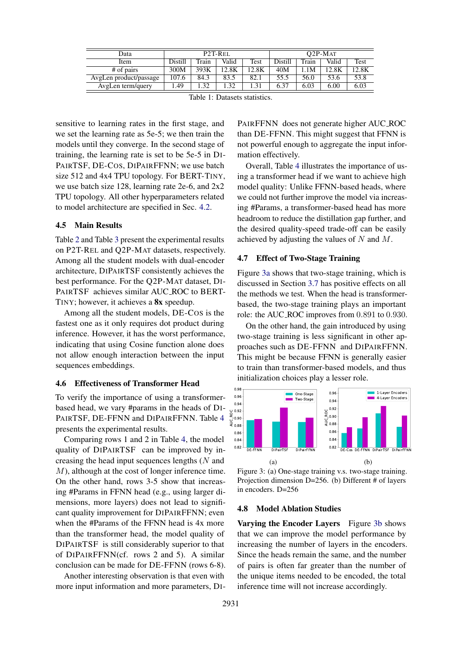<span id="page-6-5"></span>

| Data                   | P <sub>2</sub> T-R <sub>EL</sub> |       |       |       | $O2P-MAT$ |       |       |       |
|------------------------|----------------------------------|-------|-------|-------|-----------|-------|-------|-------|
| Item                   | Distill                          | Train | Valid | Test  | Distill   | Train | Valid | Test  |
| # of pairs             | 300M                             | 393K  | 12.8K | 12.8K | 40M       | 1M    | 12.8K | 12.8K |
| AvgLen product/passage | 107.6                            | 84.3  | 83.5  | 82.1  | 55.5      | 56.0  | 53.6  | 53.8  |
| AvgLen term/query      | .49                              | .32   | .32   | .31   | 6.37      | 6.03  | 6.00  | 6.03  |

Table 1: Datasets statistics.

sensitive to learning rates in the first stage, and we set the learning rate as 5e-5; we then train the models until they converge. In the second stage of training, the learning rate is set to be 5e-5 in DI-PAIRTSF, DE-COS, DIPAIRFFNN; we use batch size 512 and 4x4 TPU topology. For BERT-TINY, we use batch size 128, learning rate 2e-6, and 2x2 TPU topology. All other hyperparameters related to model architecture are specified in Sec. [4.2.](#page-5-0)

#### <span id="page-6-3"></span>4.5 Main Results

Table [2](#page-7-1) and Table [3](#page-7-0) present the experimental results on P2T-REL and Q2P-MAT datasets, respectively. Among all the student models with dual-encoder architecture, DIPAIRTSF consistently achieves the best performance. For the Q2P-MAT dataset, DI-PAIRTSF achieves similar AUC ROC to BERT-TINY; however, it achieves a 8x speedup.

Among all the student models, DE-COS is the fastest one as it only requires dot product during inference. However, it has the worst performance, indicating that using Cosine function alone does not allow enough interaction between the input sequences embeddings.

#### <span id="page-6-1"></span>4.6 Effectiveness of Transformer Head

To verify the importance of using a transformerbased head, we vary #params in the heads of DI-PAIRTSF, DE-FFNN and DIPAIRFFNN. Table [4](#page-7-2) presents the experimental results.

Comparing rows 1 and 2 in Table [4,](#page-7-2) the model quality of DIPAIRTSF can be improved by increasing the head input sequences lengths  $(N \text{ and }$ M), although at the cost of longer inference time. On the other hand, rows 3-5 show that increasing #Params in FFNN head (e.g., using larger dimensions, more layers) does not lead to significant quality improvement for DIPAIRFFNN; even when the #Params of the FFNN head is 4x more than the transformer head, the model quality of DIPAIRTSF is still considerably superior to that of DIPAIRFFNN(cf. rows 2 and 5). A similar conclusion can be made for DE-FFNN (rows 6-8).

Another interesting observation is that even with more input information and more parameters, DI-

PAIRFFNN does not generate higher AUC ROC than DE-FFNN. This might suggest that FFNN is not powerful enough to aggregate the input information effectively.

Overall, Table [4](#page-7-2) illustrates the importance of using a transformer head if we want to achieve high model quality: Unlike FFNN-based heads, where we could not further improve the model via increasing #Params, a transformer-based head has more headroom to reduce the distillation gap further, and the desired quality-speed trade-off can be easily achieved by adjusting the values of  $N$  and  $M$ .

#### <span id="page-6-2"></span>4.7 Effect of Two-Stage Training

Figure [3a](#page-6-0) shows that two-stage training, which is discussed in Section [3.7](#page-4-1) has positive effects on all the methods we test. When the head is transformerbased, the two-stage training plays an important role: the AUC ROC improves from 0.891 to 0.930.

On the other hand, the gain introduced by using two-stage training is less significant in other approaches such as DE-FFNN and DIPAIRFFNN. This might be because FFNN is generally easier to train than transformer-based models, and thus initialization choices play a lesser role.

<span id="page-6-0"></span>

Figure 3: (a) One-stage training v.s. two-stage training. Projection dimension D=256. (b) Different # of layers in encoders. D=256

#### <span id="page-6-4"></span>4.8 Model Ablation Studies

Varying the Encoder Layers Figure [3b](#page-6-0) shows that we can improve the model performance by increasing the number of layers in the encoders. Since the heads remain the same, and the number of pairs is often far greater than the number of the unique items needed to be encoded, the total inference time will not increase accordingly.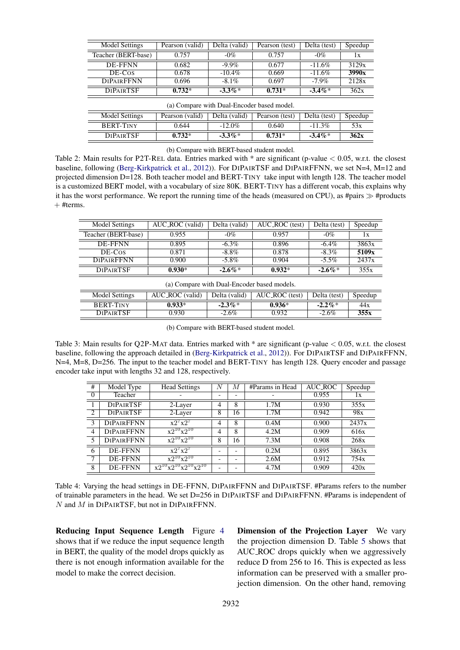<span id="page-7-1"></span>

| Model Settings      | Pearson (valid) | Delta (valid) | Pearson (test) | Delta (test) | Speedup                 |
|---------------------|-----------------|---------------|----------------|--------------|-------------------------|
| Teacher (BERT-base) | 0.757           | $-0\%$        | 0.757          | $-0\%$       | $\mathbf{I} \mathbf{X}$ |
| DE-FFNN             | 0.682           | $-9.9\%$      | 0.677          | $-11.6\%$    | 3129x                   |
| DE-Cos              | 0.678           | $-10.4\%$     | 0.669          | $-11.6\%$    | 3990x                   |
| <b>DIPAIRFFNN</b>   | 0.696           | $-8.1\%$      | 0.697          | $-7.9\%$     | 2128x                   |
| <b>DIPAIRTSF</b>    | $0.732*$        | $-3.3\%*$     | $0.731*$       | $-3.4\%*$    | 362x                    |

(a) Compare with Dual-Encoder based model.

| Model Settings   | Pearson (valid) | Delta (valid) | Pearson (test) | Delta (test) | Speedup |
|------------------|-----------------|---------------|----------------|--------------|---------|
| <b>BERT-TINY</b> | 0.644           | $-12.0\%$     | 0.640          | $-11.3\%$    | 53x     |
| <b>DIPAIRTSE</b> | $0.732*$        | $-3.3\%*$     | $0.731*$       | $-3.4\%*$    | 362x    |

(b) Compare with BERT-based student model.

Table 2: Main results for P2T-REL data. Entries marked with  $*$  are significant (p-value  $< 0.05$ , w.r.t. the closest baseline, following [\(Berg-Kirkpatrick et al.,](#page-9-21) [2012\)](#page-9-21)). For DIPAIRTSF and DIPAIRFFNN, we set N=4, M=12 and projected dimension D=128. Both teacher model and BERT-TINY take input with length 128. The teacher model is a customized BERT model, with a vocabulary of size 80K. BERT-TINY has a different vocab, this explains why it has the worst performance. We report the running time of the heads (measured on CPU), as #pairs  $\gg$  #products  $+$  #terms.

<span id="page-7-0"></span>

| Model Settings      | AUC_ROC (valid) | Delta (valid) | AUC_ROC (test) | Delta (test) | Speedup |
|---------------------|-----------------|---------------|----------------|--------------|---------|
| Teacher (BERT-base) | 0.955           | $-0\%$        | 0.957          | $-0\%$       |         |
| DE-FFNN             | 0.895           | $-6.3\%$      | 0.896          | $-6.4\%$     | 3863x   |
| DE-Cos              | 0.871           | $-8.8\%$      | 0.878          | $-8.3\%$     | 5109x   |
| <b>DIPAIRFENN</b>   | 0.900           | $-5.8\%$      | 0.904          | $-5.5\%$     | 2437x   |
| <b>DIPAIRTSE</b>    | $0.930*$        | $-2.6\%*$     | $0.932*$       | $-2.6\%$     | 355x    |

| (a) Compare with Dual-Encoder based models.                                                     |          |           |          |            |      |  |  |
|-------------------------------------------------------------------------------------------------|----------|-----------|----------|------------|------|--|--|
| AUC_ROC (valid)<br>Delta (valid)<br>Model Settings<br>AUC_ROC (test)<br>Delta (test)<br>Speedup |          |           |          |            |      |  |  |
| <b>BERT-TINY</b>                                                                                | $0.933*$ | $-2.3\%*$ | $0.936*$ | $-2.2\%$ * | 44x  |  |  |
| <b>DIPAIRTSE</b>                                                                                | 0.930    | $-2.6\%$  | 0.932    | $-2.6\%$   | 355x |  |  |
|                                                                                                 |          |           |          |            |      |  |  |

(b) Compare with BERT-based student model.

Table 3: Main results for Q2P-MAT data. Entries marked with \* are significant (p-value < 0.05, w.r.t. the closest baseline, following the approach detailed in [\(Berg-Kirkpatrick et al.,](#page-9-21) [2012\)](#page-9-21)). For DIPAIRTSF and DIPAIRFFNN, N=4, M=8, D=256. The input to the teacher model and BERT-TINY has length 128. Query encoder and passage encoder take input with lengths 32 and 128, respectively.

<span id="page-7-2"></span>

| #              | Model Type        | <b>Head Settings</b>           | N                        | М                        | #Params in Head | AUC_ROC | Speedup |
|----------------|-------------------|--------------------------------|--------------------------|--------------------------|-----------------|---------|---------|
| $\Omega$       | Teacher           |                                | $\overline{\phantom{0}}$ | $\overline{\phantom{0}}$ |                 | 0.955   | lх      |
|                | <b>DIPAIRTSF</b>  | 2-Layer                        | 4                        | 8                        | 1.7M            | 0.930   | 355x    |
| 2              | <b>DIPAIRTSF</b>  | 2-Layer                        | 8                        | 16                       | 1.7M            | 0.942   | 98x     |
| 3              | <b>DIPAIRFFNN</b> | $x2^7x2^7$                     | 4                        | 8                        | 0.4M            | 0.900   | 2437x   |
| $\overline{4}$ | <b>DIPAIRFFNN</b> | $x2^{10}x2^{10}$               | 4                        | 8                        | 4.2M            | 0.909   | 616x    |
| 5              | <b>DIPAIRFFNN</b> | $\overline{x2^{10}x2^{10}}$    | 8                        | 16                       | 7.3M            | 0.908   | 268x    |
| 6              | DE-FFNN           | $x2^7x2^7$                     | $\overline{\phantom{0}}$ | $\overline{\phantom{a}}$ | 0.2M            | 0.895   | 3863x   |
| 7              | <b>DE-FFNN</b>    | $x2^{10}x2^{10}$               | $\overline{\phantom{0}}$ | $\overline{\phantom{0}}$ | 2.6M            | 0.912   | 754x    |
| 8              | <b>DE-FFNN</b>    | $x2^{10}x2^{10}x2^{10}x2^{10}$ | -                        |                          | 4.7M            | 0.909   | 420x    |

Table 4: Varying the head settings in DE-FFNN, DIPAIRFFNN and DIPAIRTSF. #Params refers to the number of trainable parameters in the head. We set D=256 in DIPAIRTSF and DIPAIRFFNN. #Params is independent of N and M in DIPAIRTSF, but not in DIPAIRFFNN.

Reducing Input Sequence Length Figure [4](#page-8-0) shows that if we reduce the input sequence length in BERT, the quality of the model drops quickly as there is not enough information available for the model to make the correct decision.

Dimension of the Projection Layer We vary the projection dimension D. Table [5](#page-8-1) shows that AUC ROC drops quickly when we aggressively reduce D from 256 to 16. This is expected as less information can be preserved with a smaller projection dimension. On the other hand, removing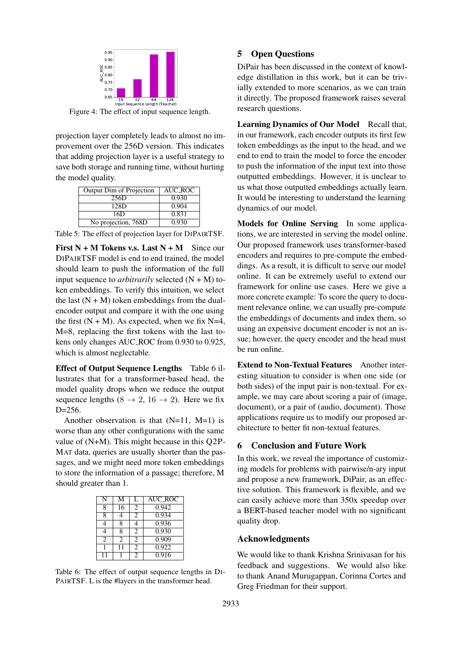<span id="page-8-0"></span>

Figure 4: The effect of input sequence length.

projection layer completely leads to almost no improvement over the 256D version. This indicates that adding projection layer is a useful strategy to save both storage and running time, without hurting the model quality.

<span id="page-8-1"></span>

| Output Dim of Projection | AUC ROC |
|--------------------------|---------|
| 256D                     | 0.930   |
| 12.8D                    | 0.904   |
| 16D                      | 0.831   |
| No projection, 768D      | 0.930   |

Table 5: The effect of projection layer for DIPAIRTSF.

First  $N + M$  Tokens v.s. Last  $N + M$  Since our DIPAIRTSF model is end to end trained, the model should learn to push the information of the full input sequence to *arbitrarily* selected  $(N + M)$  token embeddings. To verify this intuition, we select the last  $(N + M)$  token embeddings from the dualencoder output and compare it with the one using the first  $(N + M)$ . As expected, when we fix N=4, M=8, replacing the first tokens with the last tokens only changes AUC ROC from 0.930 to 0.925, which is almost neglectable.

Effect of Output Sequence Lengths Table [6](#page-8-2) illustrates that for a transformer-based head, the model quality drops when we reduce the output sequence lengths (8  $\rightarrow$  2, 16  $\rightarrow$  2). Here we fix D=256.

Another observation is that  $(N=11, M=1)$  is worse than any other configurations with the same value of (N+M). This might because in this Q2P-MAT data, queries are usually shorter than the passages, and we might need more token embeddings to store the information of a passage; therefore, M should greater than 1.

<span id="page-8-2"></span>

| N                           | М                           | L              | <b>AUC_ROC</b> |
|-----------------------------|-----------------------------|----------------|----------------|
| 8                           | 16                          | 2              | 0.942          |
| 8                           |                             | $\overline{c}$ | 0.934          |
|                             | 8                           | 4              | 0.936          |
|                             | 8                           | 2              | 0.930          |
| $\mathcal{D}_{\mathcal{L}}$ | $\mathcal{D}_{\mathcal{L}}$ | 2              | 0.909          |
|                             |                             | $\mathfrak{D}$ | 0.922          |
|                             |                             | 2              | 0.916          |

Table 6: The effect of output sequence lengths in DI-PAIRTSF. L is the #layers in the transformer head.

#### 5 Open Questions

DiPair has been discussed in the context of knowledge distillation in this work, but it can be trivially extended to more scenarios, as we can train it directly. The proposed framework raises several research questions.

Learning Dynamics of Our Model Recall that, in our framework, each encoder outputs its first few token embeddings as the input to the head, and we end to end to train the model to force the encoder to push the information of the input text into those outputted embeddings. However, it is unclear to us what those outputted embeddings actually learn. It would be interesting to understand the learning dynamics of our model.

Models for Online Serving In some applications, we are interested in serving the model online. Our proposed framework uses transformer-based encoders and requires to pre-compute the embeddings. As a result, it is difficult to serve our model online. It can be extremely useful to extend our framework for online use cases. Here we give a more concrete example: To score the query to document relevance online, we can usually pre-compute the embeddings of documents and index them, so using an expensive document encoder is not an issue; however, the query encoder and the head must be run online.

Extend to Non-Textual Features Another interesting situation to consider is when one side (or both sides) of the input pair is non-textual. For example, we may care about scoring a pair of (image, document), or a pair of (audio, document). Those applications require us to modify our proposed architecture to better fit non-textual features.

### 6 Conclusion and Future Work

In this work, we reveal the importance of customizing models for problems with pairwise/n-ary input and propose a new framework, DiPair, as an effective solution. This framework is flexible, and we can easily achieve more than 350x speedup over a BERT-based teacher model with no significant quality drop.

### Acknowledgments

We would like to thank Krishna Srinivasan for his feedback and suggestions. We would also like to thank Anand Murugappan, Corinna Cortes and Greg Friedman for their support.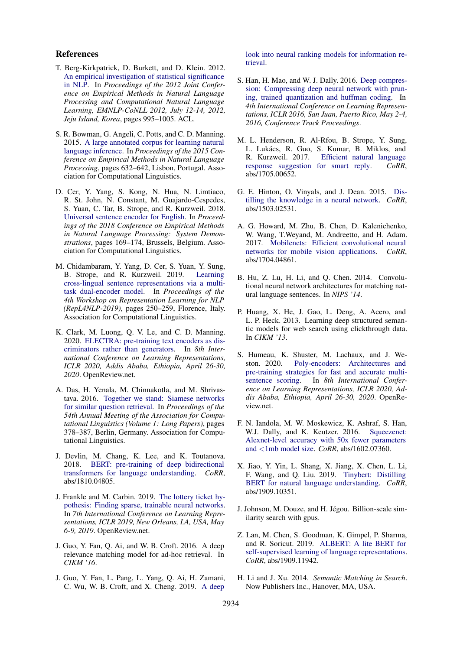#### References

- <span id="page-9-21"></span>T. Berg-Kirkpatrick, D. Burkett, and D. Klein. 2012. [An empirical investigation of statistical significance](https://www.aclweb.org/anthology/D12-1091/) [in NLP.](https://www.aclweb.org/anthology/D12-1091/) In *Proceedings of the 2012 Joint Conference on Empirical Methods in Natural Language Processing and Computational Natural Language Learning, EMNLP-CoNLL 2012, July 12-14, 2012, Jeju Island, Korea*, pages 995–1005. ACL.
- <span id="page-9-16"></span>S. R. Bowman, G. Angeli, C. Potts, and C. D. Manning. 2015. [A large annotated corpus for learning natural](https://doi.org/10.18653/v1/D15-1075) [language inference.](https://doi.org/10.18653/v1/D15-1075) In *Proceedings of the 2015 Conference on Empirical Methods in Natural Language Processing*, pages 632–642, Lisbon, Portugal. Association for Computational Linguistics.
- <span id="page-9-12"></span>D. Cer, Y. Yang, S. Kong, N. Hua, N. Limtiaco, R. St. John, N. Constant, M. Guajardo-Cespedes, S. Yuan, C. Tar, B. Strope, and R. Kurzweil. 2018. [Universal sentence encoder for English.](https://doi.org/10.18653/v1/D18-2029) In *Proceedings of the 2018 Conference on Empirical Methods in Natural Language Processing: System Demonstrations*, pages 169–174, Brussels, Belgium. Association for Computational Linguistics.
- <span id="page-9-11"></span>M. Chidambaram, Y. Yang, D. Cer, S. Yuan, Y. Sung, B. Strope, and R. Kurzweil. 2019. [Learning](https://doi.org/10.18653/v1/W19-4330) [cross-lingual sentence representations via a multi](https://doi.org/10.18653/v1/W19-4330)[task dual-encoder model.](https://doi.org/10.18653/v1/W19-4330) In *Proceedings of the 4th Workshop on Representation Learning for NLP (RepL4NLP-2019)*, pages 250–259, Florence, Italy. Association for Computational Linguistics.
- <span id="page-9-6"></span>K. Clark, M. Luong, Q. V. Le, and C. D. Manning. 2020. [ELECTRA: pre-training text encoders as dis](https://openreview.net/forum?id=r1xMH1BtvB)[criminators rather than generators.](https://openreview.net/forum?id=r1xMH1BtvB) In *8th International Conference on Learning Representations, ICLR 2020, Addis Ababa, Ethiopia, April 26-30, 2020*. OpenReview.net.
- <span id="page-9-9"></span>A. Das, H. Yenala, M. Chinnakotla, and M. Shrivastava. 2016. [Together we stand: Siamese networks](https://doi.org/10.18653/v1/P16-1036) [for similar question retrieval.](https://doi.org/10.18653/v1/P16-1036) In *Proceedings of the 54th Annual Meeting of the Association for Computational Linguistics (Volume 1: Long Papers)*, pages 378–387, Berlin, Germany. Association for Computational Linguistics.
- <span id="page-9-0"></span>J. Devlin, M. Chang, K. Lee, and K. Toutanova. 2018. [BERT: pre-training of deep bidirectional](http://arxiv.org/abs/1810.04805) [transformers for language understanding.](http://arxiv.org/abs/1810.04805) *CoRR*, abs/1810.04805.
- <span id="page-9-7"></span>J. Frankle and M. Carbin. 2019. [The lottery ticket hy](https://openreview.net/forum?id=rJl-b3RcF7)[pothesis: Finding sparse, trainable neural networks.](https://openreview.net/forum?id=rJl-b3RcF7) In *7th International Conference on Learning Representations, ICLR 2019, New Orleans, LA, USA, May 6-9, 2019*. OpenReview.net.
- <span id="page-9-15"></span>J. Guo, Y. Fan, Q. Ai, and W. B. Croft. 2016. A deep relevance matching model for ad-hoc retrieval. In *CIKM '16*.
- <span id="page-9-3"></span>J. Guo, Y. Fan, L. Pang, L. Yang, Q. Ai, H. Zamani, C. Wu, W. B. Croft, and X. Cheng. 2019. [A deep](http://arxiv.org/abs/1903.06902)

[look into neural ranking models for information re](http://arxiv.org/abs/1903.06902)[trieval.](http://arxiv.org/abs/1903.06902)

- <span id="page-9-18"></span>S. Han, H. Mao, and W. J. Dally. 2016. [Deep compres](http://arxiv.org/abs/1510.00149)[sion: Compressing deep neural network with prun](http://arxiv.org/abs/1510.00149)[ing, trained quantization and huffman coding.](http://arxiv.org/abs/1510.00149) In *4th International Conference on Learning Representations, ICLR 2016, San Juan, Puerto Rico, May 2-4, 2016, Conference Track Proceedings*.
- <span id="page-9-13"></span>M. L. Henderson, R. Al-Rfou, B. Strope, Y. Sung, L. Lukács, R. Guo, S. Kumar, B. Miklos, and R. Kurzweil. 2017. [Efficient natural language](http://arxiv.org/abs/1705.00652) [response suggestion for smart reply.](http://arxiv.org/abs/1705.00652) *CoRR*, abs/1705.00652.
- <span id="page-9-1"></span>G. E. Hinton, O. Vinyals, and J. Dean. 2015. [Dis](http://arxiv.org/abs/1503.02531)[tilling the knowledge in a neural network.](http://arxiv.org/abs/1503.02531) *CoRR*, abs/1503.02531.
- <span id="page-9-19"></span>A. G. Howard, M. Zhu, B. Chen, D. Kalenichenko, W. Wang, T.Weyand, M. Andreetto, and H. Adam. 2017. [Mobilenets: Efficient convolutional neural](http://arxiv.org/abs/1704.04861) [networks for mobile vision applications.](http://arxiv.org/abs/1704.04861) *CoRR*, abs/1704.04861.
- <span id="page-9-4"></span>B. Hu, Z. Lu, H. Li, and Q. Chen. 2014. Convolutional neural network architectures for matching natural language sentences. In *NIPS '14*.
- <span id="page-9-14"></span>P. Huang, X. He, J. Gao, L. Deng, A. Acero, and L. P. Heck. 2013. Learning deep structured semantic models for web search using clickthrough data. In *CIKM '13*.
- <span id="page-9-17"></span>S. Humeau, K. Shuster, M. Lachaux, and J. Weston. 2020. [Poly-encoders: Architectures and](https://openreview.net/forum?id=SkxgnnNFvH) [pre-training strategies for fast and accurate multi](https://openreview.net/forum?id=SkxgnnNFvH)[sentence scoring.](https://openreview.net/forum?id=SkxgnnNFvH) In *8th International Conference on Learning Representations, ICLR 2020, Addis Ababa, Ethiopia, April 26-30, 2020*. OpenReview.net.
- <span id="page-9-20"></span>F. N. Iandola, M. W. Moskewicz, K. Ashraf, S. Han, W.J. Dally, and K. Keutzer. 2016. [Squeezenet:](http://arxiv.org/abs/1602.07360) [Alexnet-level accuracy with 50x fewer parameters](http://arxiv.org/abs/1602.07360) and <[1mb model size.](http://arxiv.org/abs/1602.07360) *CoRR*, abs/1602.07360.
- <span id="page-9-8"></span>X. Jiao, Y. Yin, L. Shang, X. Jiang, X. Chen, L. Li, F. Wang, and Q. Liu. 2019. [Tinybert: Distilling](http://arxiv.org/abs/1909.10351) [BERT for natural language understanding.](http://arxiv.org/abs/1909.10351) *CoRR*, abs/1909.10351.
- <span id="page-9-10"></span>J. Johnson, M. Douze, and H. Jégou. Billion-scale similarity search with gpus.
- <span id="page-9-5"></span>Z. Lan, M. Chen, S. Goodman, K. Gimpel, P. Sharma, and R. Soricut. 2019. [ALBERT: A lite BERT for](http://arxiv.org/abs/1909.11942) [self-supervised learning of language representations.](http://arxiv.org/abs/1909.11942) *CoRR*, abs/1909.11942.
- <span id="page-9-2"></span>H. Li and J. Xu. 2014. *Semantic Matching in Search*. Now Publishers Inc., Hanover, MA, USA.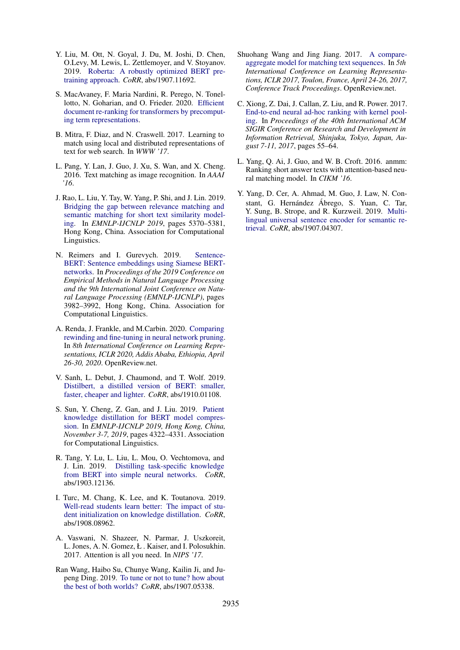- <span id="page-10-1"></span>Y. Liu, M. Ott, N. Goyal, J. Du, M. Joshi, D. Chen, O.Levy, M. Lewis, L. Zettlemoyer, and V. Stoyanov. 2019. [Roberta: A robustly optimized BERT pre](http://arxiv.org/abs/1907.11692)[training approach.](http://arxiv.org/abs/1907.11692) *CoRR*, abs/1907.11692.
- <span id="page-10-12"></span>S. MacAvaney, F. Maria Nardini, R. Perego, N. Tonellotto, N. Goharian, and O. Frieder. 2020. [Efficient](http://arxiv.org/abs/2004.14255) [document re-ranking for transformers by precomput](http://arxiv.org/abs/2004.14255)[ing term representations.](http://arxiv.org/abs/2004.14255)
- <span id="page-10-7"></span>B. Mitra, F. Diaz, and N. Craswell. 2017. Learning to match using local and distributed representations of text for web search. In *WWW '17*.
- <span id="page-10-0"></span>L. Pang, Y. Lan, J. Guo, J. Xu, S. Wan, and X. Cheng. 2016. Text matching as image recognition. In *AAAI '16*.
- <span id="page-10-9"></span>J. Rao, L. Liu, Y. Tay, W. Yang, P. Shi, and J. Lin. 2019. [Bridging the gap between relevance matching and](https://doi.org/10.18653/v1/D19-1540) [semantic matching for short text similarity model](https://doi.org/10.18653/v1/D19-1540)[ing.](https://doi.org/10.18653/v1/D19-1540) In *EMNLP-IJCNLP 2019*, pages 5370–5381, Hong Kong, China. Association for Computational Linguistics.
- <span id="page-10-5"></span>N. Reimers and I. Gurevych. 2019. [Sentence-](https://doi.org/10.18653/v1/D19-1410)[BERT: Sentence embeddings using Siamese BERT](https://doi.org/10.18653/v1/D19-1410)[networks.](https://doi.org/10.18653/v1/D19-1410) In *Proceedings of the 2019 Conference on Empirical Methods in Natural Language Processing and the 9th International Joint Conference on Natural Language Processing (EMNLP-IJCNLP)*, pages 3982–3992, Hong Kong, China. Association for Computational Linguistics.
- <span id="page-10-14"></span>A. Renda, J. Frankle, and M.Carbin. 2020. [Comparing](https://openreview.net/forum?id=S1gSj0NKvB) [rewinding and fine-tuning in neural network pruning.](https://openreview.net/forum?id=S1gSj0NKvB) In *8th International Conference on Learning Representations, ICLR 2020, Addis Ababa, Ethiopia, April 26-30, 2020*. OpenReview.net.
- <span id="page-10-2"></span>V. Sanh, L. Debut, J. Chaumond, and T. Wolf. 2019. [Distilbert, a distilled version of BERT: smaller,](http://arxiv.org/abs/1910.01108) [faster, cheaper and lighter.](http://arxiv.org/abs/1910.01108) *CoRR*, abs/1910.01108.
- <span id="page-10-13"></span>S. Sun, Y. Cheng, Z. Gan, and J. Liu. 2019. [Patient](https://doi.org/10.18653/v1/D19-1441) [knowledge distillation for BERT model compres](https://doi.org/10.18653/v1/D19-1441)[sion.](https://doi.org/10.18653/v1/D19-1441) In *EMNLP-IJCNLP 2019, Hong Kong, China, November 3-7, 2019*, pages 4322–4331. Association for Computational Linguistics.
- <span id="page-10-4"></span>R. Tang, Y. Lu, L. Liu, L. Mou, O. Vechtomova, and J. Lin. 2019. [Distilling task-specific knowledge](http://arxiv.org/abs/1903.12136) [from BERT into simple neural networks.](http://arxiv.org/abs/1903.12136) *CoRR*, abs/1903.12136.
- <span id="page-10-3"></span>I. Turc, M. Chang, K. Lee, and K. Toutanova. 2019. [Well-read students learn better: The impact of stu](http://arxiv.org/abs/1908.08962)[dent initialization on knowledge distillation.](http://arxiv.org/abs/1908.08962) *CoRR*, abs/1908.08962.
- <span id="page-10-10"></span>A. Vaswani, N. Shazeer, N. Parmar, J. Uszkoreit, L. Jones, A. N. Gomez, Ł . Kaiser, and I. Polosukhin. 2017. Attention is all you need. In *NIPS '17*.
- <span id="page-10-15"></span>Ran Wang, Haibo Su, Chunye Wang, Kailin Ji, and Jupeng Ding. 2019. [To tune or not to tune? how about](http://arxiv.org/abs/1907.05338) [the best of both worlds?](http://arxiv.org/abs/1907.05338) *CoRR*, abs/1907.05338.
- <span id="page-10-11"></span>Shuohang Wang and Jing Jiang. 2017. [A compare](https://openreview.net/forum?id=HJTzHtqee)[aggregate model for matching text sequences.](https://openreview.net/forum?id=HJTzHtqee) In *5th International Conference on Learning Representations, ICLR 2017, Toulon, France, April 24-26, 2017, Conference Track Proceedings*. OpenReview.net.
- <span id="page-10-8"></span>C. Xiong, Z. Dai, J. Callan, Z. Liu, and R. Power. 2017. [End-to-end neural ad-hoc ranking with kernel pool](https://doi.org/10.1145/3077136.3080809)[ing.](https://doi.org/10.1145/3077136.3080809) In *Proceedings of the 40th International ACM SIGIR Conference on Research and Development in Information Retrieval, Shinjuku, Tokyo, Japan, August 7-11, 2017*, pages 55–64.
- <span id="page-10-6"></span>L. Yang, Q. Ai, J. Guo, and W. B. Croft. 2016. anmm: Ranking short answer texts with attention-based neural matching model. In *CIKM '16*.
- <span id="page-10-16"></span>Y. Yang, D. Cer, A. Ahmad, M. Guo, J. Law, N. Constant, G. Hernández Ábrego, S. Yuan, C. Tar, Y. Sung, B. Strope, and R. Kurzweil. 2019. [Multi](http://arxiv.org/abs/1907.04307)[lingual universal sentence encoder for semantic re](http://arxiv.org/abs/1907.04307)[trieval.](http://arxiv.org/abs/1907.04307) *CoRR*, abs/1907.04307.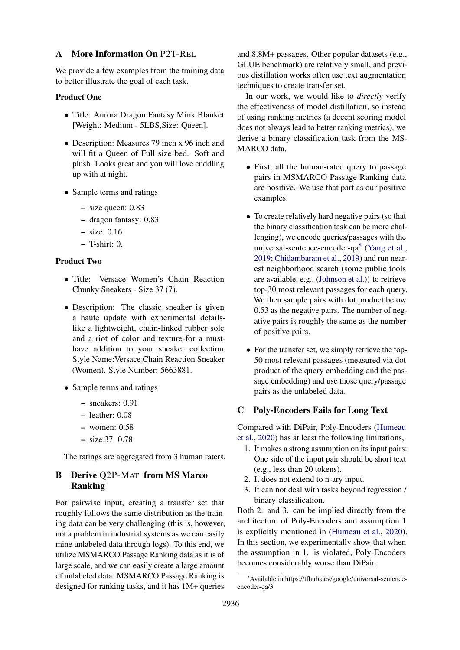#### <span id="page-11-2"></span>A More Information On P2T-REL

We provide a few examples from the training data to better illustrate the goal of each task.

#### Product One

- Title: Aurora Dragon Fantasy Mink Blanket [Weight: Medium - 5LBS,Size: Queen].
- Description: Measures 79 inch x 96 inch and will fit a Queen of Full size bed. Soft and plush. Looks great and you will love cuddling up with at night.
- Sample terms and ratings
	- size queen: 0.83
	- dragon fantasy: 0.83
	- size: 0.16
	- $-$  T-shirt: 0.

### Product Two

- Title: Versace Women's Chain Reaction Chunky Sneakers - Size 37 (7).
- Description: The classic sneaker is given a haute update with experimental detailslike a lightweight, chain-linked rubber sole and a riot of color and texture-for a musthave addition to your sneaker collection. Style Name:Versace Chain Reaction Sneaker (Women). Style Number: 5663881.
- Sample terms and ratings
	- sneakers: 0.91
	- leather: 0.08
	- women: 0.58
	- size 37: 0.78

The ratings are aggregated from 3 human raters.

## <span id="page-11-1"></span>B Derive Q2P-MAT from MS Marco Ranking

For pairwise input, creating a transfer set that roughly follows the same distribution as the training data can be very challenging (this is, however, not a problem in industrial systems as we can easily mine unlabeled data through logs). To this end, we utilize MSMARCO Passage Ranking data as it is of large scale, and we can easily create a large amount of unlabeled data. MSMARCO Passage Ranking is designed for ranking tasks, and it has 1M+ queries

and 8.8M+ passages. Other popular datasets (e.g., GLUE benchmark) are relatively small, and previous distillation works often use text augmentation techniques to create transfer set.

In our work, we would like to *directly* verify the effectiveness of model distillation, so instead of using ranking metrics (a decent scoring model does not always lead to better ranking metrics), we derive a binary classification task from the MS-MARCO data,

- First, all the human-rated query to passage pairs in MSMARCO Passage Ranking data are positive. We use that part as our positive examples.
- To create relatively hard negative pairs (so that the binary classification task can be more challenging), we encode queries/passages with the universal-sentence-encoder-qa<sup>[5](#page-11-3)</sup> [\(Yang et al.,](#page-10-16) [2019;](#page-10-16) [Chidambaram et al.,](#page-9-11) [2019\)](#page-9-11) and run nearest neighborhood search (some public tools are available, e.g., [\(Johnson et al.\)](#page-9-10)) to retrieve top-30 most relevant passages for each query. We then sample pairs with dot product below 0.53 as the negative pairs. The number of negative pairs is roughly the same as the number of positive pairs.
- For the transfer set, we simply retrieve the top-50 most relevant passages (measured via dot product of the query embedding and the passage embedding) and use those query/passage pairs as the unlabeled data.

### <span id="page-11-0"></span>C Poly-Encoders Fails for Long Text

Compared with DiPair, Poly-Encoders [\(Humeau](#page-9-17) [et al.,](#page-9-17) [2020\)](#page-9-17) has at least the following limitations,

- 1. It makes a strong assumption on its input pairs: One side of the input pair should be short text (e.g., less than 20 tokens).
- 2. It does not extend to n-ary input.
- 3. It can not deal with tasks beyond regression / binary-classification.

Both 2. and 3. can be implied directly from the architecture of Poly-Encoders and assumption 1 is explicitly mentioned in [\(Humeau et al.,](#page-9-17) [2020\)](#page-9-17). In this section, we experimentally show that when the assumption in 1. is violated, Poly-Encoders becomes considerably worse than DiPair.

<span id="page-11-3"></span><sup>&</sup>lt;sup>5</sup>Available in https://tfhub.dev/google/universal-sentenceencoder-qa/3